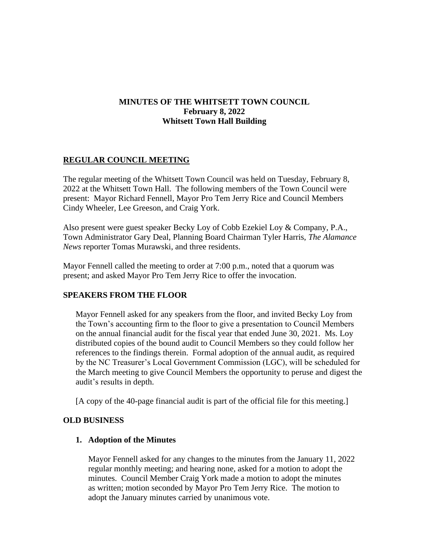# **MINUTES OF THE WHITSETT TOWN COUNCIL February 8, 2022 Whitsett Town Hall Building**

## **REGULAR COUNCIL MEETING**

The regular meeting of the Whitsett Town Council was held on Tuesday, February 8, 2022 at the Whitsett Town Hall. The following members of the Town Council were present: Mayor Richard Fennell, Mayor Pro Tem Jerry Rice and Council Members Cindy Wheeler, Lee Greeson, and Craig York.

Also present were guest speaker Becky Loy of Cobb Ezekiel Loy & Company, P.A., Town Administrator Gary Deal, Planning Board Chairman Tyler Harris, *The Alamance News* reporter Tomas Murawski, and three residents.

Mayor Fennell called the meeting to order at 7:00 p.m., noted that a quorum was present; and asked Mayor Pro Tem Jerry Rice to offer the invocation.

# **SPEAKERS FROM THE FLOOR**

Mayor Fennell asked for any speakers from the floor, and invited Becky Loy from the Town's accounting firm to the floor to give a presentation to Council Members on the annual financial audit for the fiscal year that ended June 30, 2021. Ms. Loy distributed copies of the bound audit to Council Members so they could follow her references to the findings therein. Formal adoption of the annual audit, as required by the NC Treasurer's Local Government Commission (LGC), will be scheduled for the March meeting to give Council Members the opportunity to peruse and digest the audit's results in depth.

[A copy of the 40-page financial audit is part of the official file for this meeting.]

## **OLD BUSINESS**

## **1. Adoption of the Minutes**

Mayor Fennell asked for any changes to the minutes from the January 11, 2022 regular monthly meeting; and hearing none, asked for a motion to adopt the minutes. Council Member Craig York made a motion to adopt the minutes as written; motion seconded by Mayor Pro Tem Jerry Rice. The motion to adopt the January minutes carried by unanimous vote.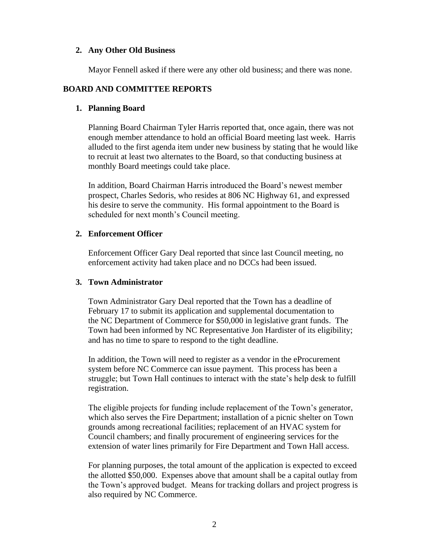## **2. Any Other Old Business**

Mayor Fennell asked if there were any other old business; and there was none.

# **BOARD AND COMMITTEE REPORTS**

## **1. Planning Board**

Planning Board Chairman Tyler Harris reported that, once again, there was not enough member attendance to hold an official Board meeting last week. Harris alluded to the first agenda item under new business by stating that he would like to recruit at least two alternates to the Board, so that conducting business at monthly Board meetings could take place.

In addition, Board Chairman Harris introduced the Board's newest member prospect, Charles Sedoris, who resides at 806 NC Highway 61, and expressed his desire to serve the community. His formal appointment to the Board is scheduled for next month's Council meeting.

## **2. Enforcement Officer**

Enforcement Officer Gary Deal reported that since last Council meeting, no enforcement activity had taken place and no DCCs had been issued.

## **3. Town Administrator**

Town Administrator Gary Deal reported that the Town has a deadline of February 17 to submit its application and supplemental documentation to the NC Department of Commerce for \$50,000 in legislative grant funds. The Town had been informed by NC Representative Jon Hardister of its eligibility; and has no time to spare to respond to the tight deadline.

In addition, the Town will need to register as a vendor in the eProcurement system before NC Commerce can issue payment. This process has been a struggle; but Town Hall continues to interact with the state's help desk to fulfill registration.

The eligible projects for funding include replacement of the Town's generator, which also serves the Fire Department; installation of a picnic shelter on Town grounds among recreational facilities; replacement of an HVAC system for Council chambers; and finally procurement of engineering services for the extension of water lines primarily for Fire Department and Town Hall access.

For planning purposes, the total amount of the application is expected to exceed the allotted \$50,000. Expenses above that amount shall be a capital outlay from the Town's approved budget. Means for tracking dollars and project progress is also required by NC Commerce.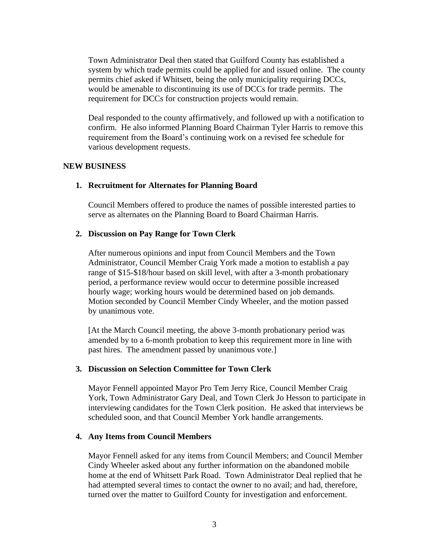Town Administrator Deal then stated that Guilford County has established a system by which trade permits could be applied for and issued online. The county permits chief asked if Whitsett, being the only municipality requiring DCCs, would be amenable to discontinuing its use of DCCs for trade permits. The requirement for DCCs for construction projects would remain.

Deal responded to the county affirmatively, and followed up with a notification to confirm. He also informed Planning Board Chairman Tyler Harris to remove this requirement from the Board's continuing work on a revised fee schedule for various development requests.

#### **NEW BUSINESS**

#### **1. Recruitment for Alternates for Planning Board**

Council Members offered to produce the names of possible interested parties to serve as alternates on the Planning Board to Board Chairman Harris.

#### **2. Discussion on Pay Range for Town Clerk**

After numerous opinions and input from Council Members and the Town Administrator, Council Member Craig York made a motion to establish a pay range of \$15-\$18/hour based on skill level, with after a 3-month probationary period, a performance review would occur to determine possible increased hourly wage; working hours would be determined based on job demands. Motion seconded by Council Member Cindy Wheeler, and the motion passed by unanimous vote.

[At the March Council meeting, the above 3-month probationary period was amended by to a 6-month probation to keep this requirement more in line with past hires. The amendment passed by unanimous vote.]

#### **3. Discussion on Selection Committee for Town Clerk**

Mayor Fennell appointed Mayor Pro Tem Jerry Rice, Council Member Craig York, Town Administrator Gary Deal, and Town Clerk Jo Hesson to participate in interviewing candidates for the Town Clerk position. He asked that interviews be scheduled soon, and that Council Member York handle arrangements.

#### **4. Any Items from Council Members**

Mayor Fennell asked for any items from Council Members; and Council Member Cindy Wheeler asked about any further information on the abandoned mobile home at the end of Whitsett Park Road. Town Administrator Deal replied that he had attempted several times to contact the owner to no avail; and had, therefore, turned over the matter to Guilford County for investigation and enforcement.